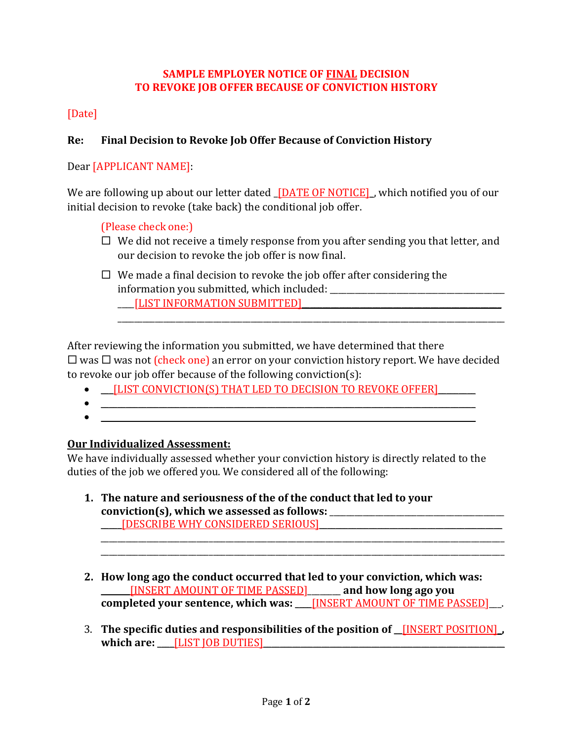### **SAMPLE EMPLOYER NOTICE OF FINAL DECISION TO REVOKE JOB OFFER BECAUSE OF CONVICTION HISTORY**

## [Date]

## **Re: Final Decision to Revoke Job Offer Because of Conviction History**

Dear [APPLICANT NAME]:

We are following up about our letter dated **[DATE OF NOTICE]**, which notified you of our initial decision to revoke (take back) the conditional job offer.

#### (Please check one:)

 $\Box$  We did not receive a timely response from you after sending you that letter, and our decision to revoke the job offer is now final.

\_\_\_\_\_\_\_\_\_\_\_\_\_\_\_\_\_\_\_\_\_\_\_\_\_\_\_\_\_\_\_\_\_\_\_\_\_\_\_\_\_\_\_\_\_\_\_\_\_\_\_\_\_\_\_\_\_\_\_\_\_\_\_\_\_\_\_\_\_\_\_\_\_\_\_\_\_\_\_\_\_\_\_\_\_\_\_\_\_\_\_\_\_

 $\Box$  We made a final decision to revoke the job offer after considering the information you submitted, which included: \_\_\_\_[LIST INFORMATION SUBMITTED]\_\_\_\_\_\_\_\_\_\_\_\_\_\_\_\_\_\_\_\_\_\_\_\_\_\_\_\_\_\_\_\_\_\_\_\_\_\_\_\_\_\_\_\_\_\_\_\_

After reviewing the information you submitted, we have determined that there  $\Box$  was  $\Box$  was not (check one) an error on your conviction history report. We have decided

to revoke our job offer because of the following conviction(s):

- **ILIST CONVICTION(S) THAT LED TO DECISION TO REVOKE OFFERI**
- $\bullet$  . The contract of the contract of the contract of the contract of the contract of the contract of the contract of the contract of the contract of the contract of the contract of the contract of the contract of the co
	- $\hspace{0.5cm}$   $\hspace{0.5cm}$   $\hspace{0.5cm}$   $\hspace{0.5cm}$   $\hspace{0.5cm}$   $\hspace{0.5cm}$   $\hspace{0.5cm}$   $\hspace{0.5cm}$   $\hspace{0.5cm}$   $\hspace{0.5cm}$   $\hspace{0.5cm}$   $\hspace{0.5cm}$   $\hspace{0.5cm}$   $\hspace{0.5cm}$   $\hspace{0.5cm}$   $\hspace{0.5cm}$   $\hspace{0.5cm}$   $\hspace{0.5cm}$   $\hs$

#### **Our Individualized Assessment:**

We have individually assessed whether your conviction history is directly related to the duties of the job we offered you. We considered all of the following:

- **1. The nature and seriousness of the of the conduct that led to your conviction(s), which we assessed as follows:** \_\_\_\_\_\_\_\_\_\_\_\_\_\_\_\_\_\_\_\_\_\_\_\_\_\_\_\_\_\_\_\_\_\_\_\_\_\_\_\_\_\_ \_\_\_\_\_[DESCRIBE WHY CONSIDERED SERIOUS]\_\_\_\_\_\_\_\_\_\_\_\_\_\_\_\_\_\_\_\_\_\_\_\_\_\_\_\_\_\_\_\_\_\_\_\_\_\_\_\_\_\_\_\_
- **2. How long ago the conduct occurred that led to your conviction, which was:**  \_\_\_\_\_\_\_[INSERT AMOUNT OF TIME PASSED]\_\_\_\_\_\_\_\_ **and how long ago you completed your sentence, which was: <u>\_\_\_</u>\_[INSERT AMOUNT OF TIME PASSED]\_\_\_.**

\_\_\_\_\_\_\_\_\_\_\_\_\_\_\_\_\_\_\_\_\_\_\_\_\_\_\_\_\_\_\_\_\_\_\_\_\_\_\_\_\_\_\_\_\_\_\_\_\_\_\_\_\_\_\_\_\_\_\_\_\_\_\_\_\_\_\_\_\_\_\_\_\_\_\_\_\_\_\_\_\_\_\_\_\_\_\_\_\_\_\_\_\_\_\_\_\_

3. **The specific duties and responsibilities of the position of \_\_**[INSERT POSITION]\_**,**  which are: \_\_\_\_<u>[LIST JOB DUTIES]</u>